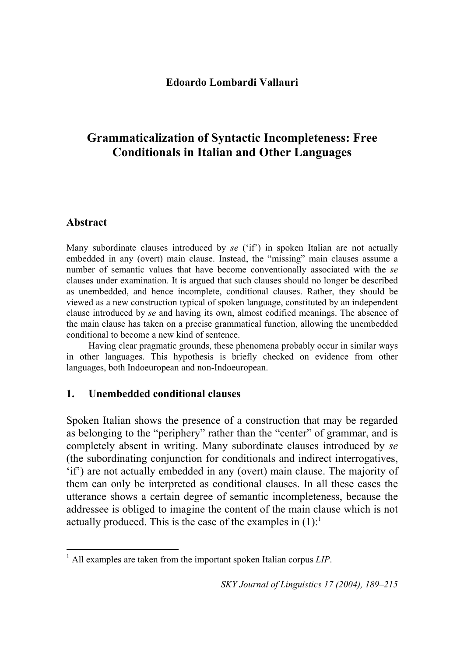## **Edoardo Lombardi Vallauri**

# **Grammaticalization of Syntactic Incompleteness: Free Conditionals in Italian and Other Languages**

## **Abstract**

Many subordinate clauses introduced by *se* ('if') in spoken Italian are not actually embedded in any (overt) main clause. Instead, the "missing" main clauses assume a number of semantic values that have become conventionally associated with the *se*  clauses under examination. It is argued that such clauses should no longer be described as unembedded, and hence incomplete, conditional clauses. Rather, they should be viewed as a new construction typical of spoken language, constituted by an independent clause introduced by *se* and having its own, almost codified meanings. The absence of the main clause has taken on a precise grammatical function, allowing the unembedded conditional to become a new kind of sentence.

Having clear pragmatic grounds, these phenomena probably occur in similar ways in other languages. This hypothesis is briefly checked on evidence from other languages, both Indoeuropean and non-Indoeuropean.

## **1. Unembedded conditional clauses**

Spoken Italian shows the presence of a construction that may be regarded as belonging to the "periphery" rather than the "center" of grammar, and is completely absent in writing. Many subordinate clauses introduced by *se* (the subordinating conjunction for conditionals and indirect interrogatives, 'if') are not actually embedded in any (overt) main clause. The majority of them can only be interpreted as conditional clauses. In all these cases the utterance shows a certain degree of semantic incompleteness, because the addressee is obliged to imagine the content of the main clause which is not actually produced. This is the case of the examples in  $(1)$  $(1)$  $(1)$ :<sup>1</sup>

<span id="page-0-0"></span> $\overline{a}$ 1 All examples are taken from the important spoken Italian corpus *LIP*.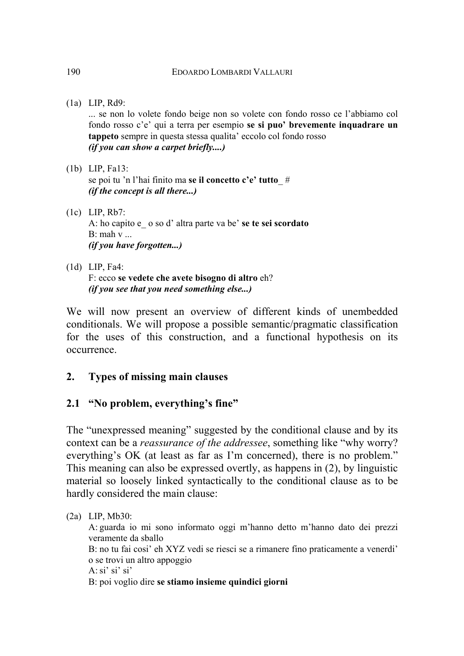(1a) LIP, Rd9:

... se non lo volete fondo beige non so volete con fondo rosso ce l'abbiamo col fondo rosso c'e' qui a terra per esempio **se si puo' brevemente inquadrare un tappeto** sempre in questa stessa qualita' eccolo col fondo rosso *(if you can show a carpet briefly....)* 

- (1b) LIP, Fa13: se poi tu 'n l'hai finito ma **se il concetto c'e' tutto**\_ # *(if the concept is all there...)*
- (1c) LIP, Rb7: A: ho capito e\_ o so d' altra parte va be' **se te sei scordato**  B: mah v ... *(if you have forgotten...)*
- (1d) LIP, Fa4: F: ecco **se vedete che avete bisogno di altro** eh? *(if you see that you need something else...)*

We will now present an overview of different kinds of unembedded conditionals. We will propose a possible semantic/pragmatic classification for the uses of this construction, and a functional hypothesis on its occurrence.

## **2. Types of missing main clauses**

## **2.1 "No problem, everything's fine"**

The "unexpressed meaning" suggested by the conditional clause and by its context can be a *reassurance of the addressee*, something like "why worry? everything's OK (at least as far as I'm concerned), there is no problem." This meaning can also be expressed overtly, as happens in (2), by linguistic material so loosely linked syntactically to the conditional clause as to be hardly considered the main clause:

### (2a) LIP, Mb30:

A: guarda io mi sono informato oggi m'hanno detto m'hanno dato dei prezzi veramente da sballo B: no tu fai cosi' eh XYZ vedi se riesci se a rimanere fino praticamente a venerdi' o se trovi un altro appoggio A:  $\sin$ ' si' si' B: poi voglio dire **se stiamo insieme quindici giorni**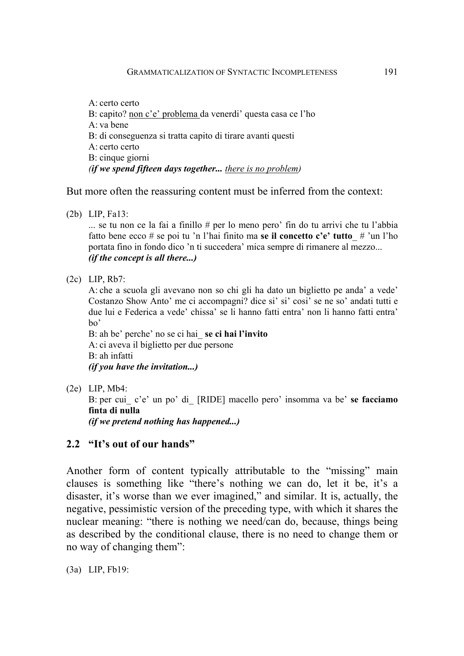A: certo certo B: capito? non c'e' problema da venerdi' questa casa ce l'ho A: va bene B: di conseguenza si tratta capito di tirare avanti questi A: certo certo B: cinque giorni *(if we spend fifteen days together... there is no problem)* 

But more often the reassuring content must be inferred from the context:

(2b) LIP, Fa13:

 $\ldots$  se tu non ce la fai a finillo # per lo meno pero' fin do tu arrivi che tu l'abbia fatto bene ecco # se poi tu 'n l'hai finito ma **se il concetto c'e' tutto**\_ # 'un l'ho portata fino in fondo dico 'n ti succedera' mica sempre di rimanere al mezzo... *(if the concept is all there...)* 

(2c) LIP, Rb7:

A: che a scuola gli avevano non so chi gli ha dato un biglietto pe anda' a vede' Costanzo Show Anto' me ci accompagni? dice si' si' cosi' se ne so' andati tutti e due lui e Federica a vede' chissa' se li hanno fatti entra' non li hanno fatti entra' bo'

B: ah be' perche' no se ci hai\_ **se ci hai l'invito** A: ci aveva il biglietto per due persone B: ah infatti *(if you have the invitation...)* 

(2e) LIP, Mb4:

B: per cui\_ c'e' un po' di\_ [RIDE] macello pero' insomma va be' **se facciamo finta di nulla**

*(if we pretend nothing has happened...)* 

## **2.2 "It's out of our hands"**

Another form of content typically attributable to the "missing" main clauses is something like "there's nothing we can do, let it be, it's a disaster, it's worse than we ever imagined," and similar. It is, actually, the negative, pessimistic version of the preceding type, with which it shares the nuclear meaning: "there is nothing we need/can do, because, things being as described by the conditional clause, there is no need to change them or no way of changing them":

(3a) LIP, Fb19: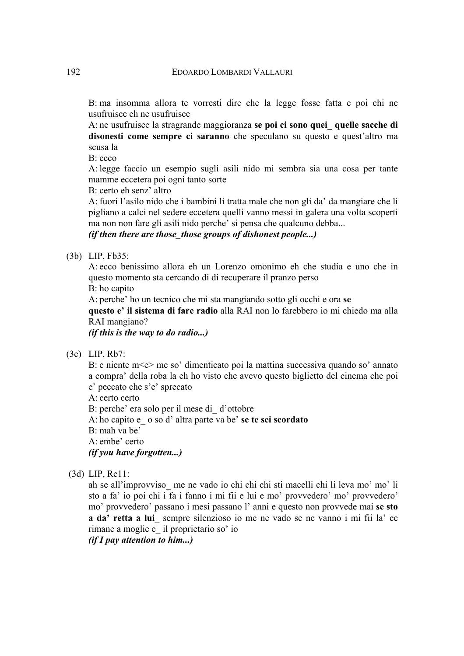B: ma insomma allora te vorresti dire che la legge fosse fatta e poi chi ne usufruisce eh ne usufruisce

A: ne usufruisce la stragrande maggioranza **se poi ci sono quei\_ quelle sacche di disonesti come sempre ci saranno** che speculano su questo e quest'altro ma scusa la

 $B$ <sup> $\cdot$ </sup> ecco

A: legge faccio un esempio sugli asili nido mi sembra sia una cosa per tante mamme eccetera poi ogni tanto sorte

B: certo eh senz' altro

A: fuori l'asilo nido che i bambini li tratta male che non gli da' da mangiare che li pigliano a calci nel sedere eccetera quelli vanno messi in galera una volta scoperti ma non non fare gli asili nido perche' si pensa che qualcuno debba...

#### *(if then there are those\_those groups of dishonest people...)*

#### (3b) LIP, Fb35:

A: ecco benissimo allora eh un Lorenzo omonimo eh che studia e uno che in questo momento sta cercando di di recuperare il pranzo perso

B: ho capito

A: perche' ho un tecnico che mi sta mangiando sotto gli occhi e ora **se** 

**questo e' il sistema di fare radio** alla RAI non lo farebbero io mi chiedo ma alla RAI mangiano?

*(if this is the way to do radio...)* 

(3c) LIP, Rb7:

B: e niente m<e> me so' dimenticato poi la mattina successiva quando so' annato a compra' della roba la eh ho visto che avevo questo biglietto del cinema che poi e' peccato che s'e' sprecato

A: certo certo

B: perche' era solo per il mese di\_ d'ottobre

A: ho capito e\_ o so d' altra parte va be' **se te sei scordato**

B: mah va be'

A: embe' certo

*(if you have forgotten...)* 

(3d) LIP, Re11:

ah se all'improvviso\_ me ne vado io chi chi chi sti macelli chi li leva mo' mo' li sto a fa' io poi chi i fa i fanno i mi fii e lui e mo' provvedero' mo' provvedero' mo' provvedero' passano i mesi passano l' anni e questo non provvede mai **se sto a da' retta a lui**\_ sempre silenzioso io me ne vado se ne vanno i mi fii la' ce rimane a moglie e\_ il proprietario so' io

*(if I pay attention to him...)*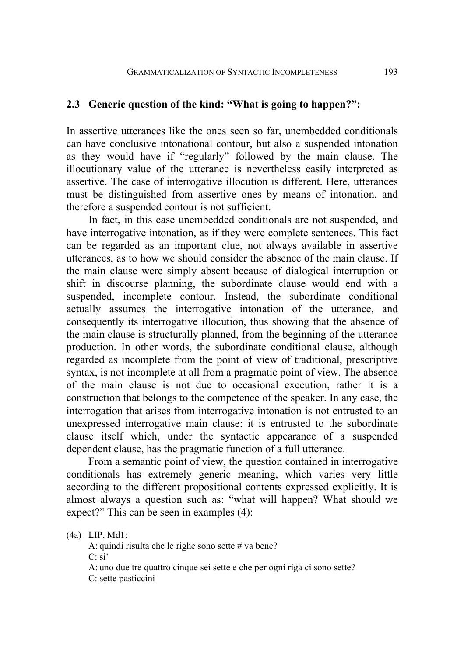## **2.3 Generic question of the kind: "What is going to happen?":**

In assertive utterances like the ones seen so far, unembedded conditionals can have conclusive intonational contour, but also a suspended intonation as they would have if "regularly" followed by the main clause. The illocutionary value of the utterance is nevertheless easily interpreted as assertive. The case of interrogative illocution is different. Here, utterances must be distinguished from assertive ones by means of intonation, and therefore a suspended contour is not sufficient.

In fact, in this case unembedded conditionals are not suspended, and have interrogative intonation, as if they were complete sentences. This fact can be regarded as an important clue, not always available in assertive utterances, as to how we should consider the absence of the main clause. If the main clause were simply absent because of dialogical interruption or shift in discourse planning, the subordinate clause would end with a suspended, incomplete contour. Instead, the subordinate conditional actually assumes the interrogative intonation of the utterance, and consequently its interrogative illocution, thus showing that the absence of the main clause is structurally planned, from the beginning of the utterance production. In other words, the subordinate conditional clause, although regarded as incomplete from the point of view of traditional, prescriptive syntax, is not incomplete at all from a pragmatic point of view. The absence of the main clause is not due to occasional execution, rather it is a construction that belongs to the competence of the speaker. In any case, the interrogation that arises from interrogative intonation is not entrusted to an unexpressed interrogative main clause: it is entrusted to the subordinate clause itself which, under the syntactic appearance of a suspended dependent clause, has the pragmatic function of a full utterance.

From a semantic point of view, the question contained in interrogative conditionals has extremely generic meaning, which varies very little according to the different propositional contents expressed explicitly. It is almost always a question such as: "what will happen? What should we expect?" This can be seen in examples (4):

(4a) LIP, Md1:

A: quindi risulta che le righe sono sette # va bene?  $C: \mathrm{si}'$ A: uno due tre quattro cinque sei sette e che per ogni riga ci sono sette? C: sette pasticcini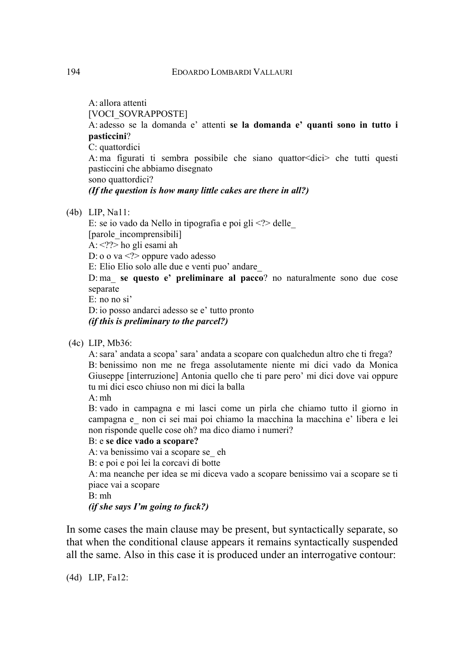A: allora attenti

[VOCI\_SOVRAPPOSTE]

A: adesso se la domanda e' attenti **se la domanda e' quanti sono in tutto i pasticcini**?

C: quattordici

A: ma figurati ti sembra possibile che siano quattor<dici> che tutti questi pasticcini che abbiamo disegnato

sono quattordici?

#### *(If the question is how many little cakes are there in all?)*

(4b) LIP, Na11:

E: se io vado da Nello in tipografia e poi gli  $\langle \cdot \rangle$  delle [parole\_incomprensibili] A:  $\langle$ ??> ho gli esami ah

D: o o va <?> oppure vado adesso

E: Elio Elio solo alle due e venti puo' andare\_

D: ma\_ **se questo e' preliminare al pacco**? no naturalmente sono due cose separate

E: no no si'

D: io posso andarci adesso se e' tutto pronto *(if this is preliminary to the parcel?)* 

(4c) LIP, Mb36:

A: sara' andata a scopa' sara' andata a scopare con qualchedun altro che ti frega? B: benissimo non me ne frega assolutamente niente mi dici vado da Monica Giuseppe [interruzione] Antonia quello che ti pare pero' mi dici dove vai oppure tu mi dici esco chiuso non mi dici la balla

 $A \cdot mh$ 

B: vado in campagna e mi lasci come un pirla che chiamo tutto il giorno in campagna e\_ non ci sei mai poi chiamo la macchina la macchina e' libera e lei non risponde quelle cose oh? ma dico diamo i numeri?

### B: e **se dice vado a scopare?**

A: va benissimo vai a scopare se\_ eh

B: e poi e poi lei la corcavi di botte

A: ma neanche per idea se mi diceva vado a scopare benissimo vai a scopare se ti piace vai a scopare

B: mh

### *(if she says I'm going to fuck?)*

In some cases the main clause may be present, but syntactically separate, so that when the conditional clause appears it remains syntactically suspended all the same. Also in this case it is produced under an interrogative contour:

(4d) LIP, Fa12: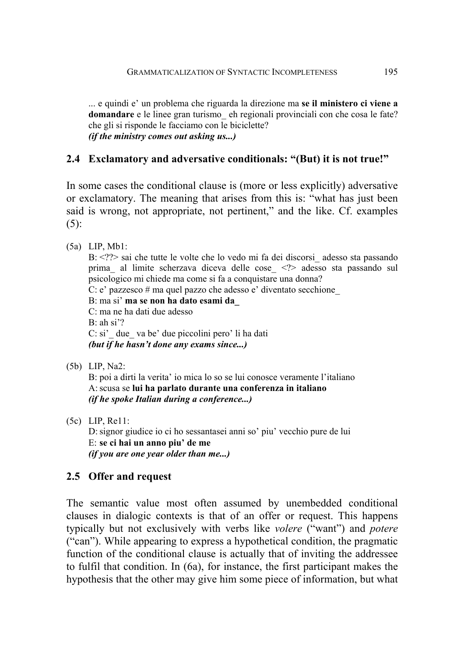... e quindi e' un problema che riguarda la direzione ma **se il ministero ci viene a domandare** e le linee gran turismo\_ eh regionali provinciali con che cosa le fate? che gli si risponde le facciamo con le biciclette? *(if the ministry comes out asking us...)* 

## **2.4 Exclamatory and adversative conditionals: "(But) it is not true!"**

In some cases the conditional clause is (more or less explicitly) adversative or exclamatory. The meaning that arises from this is: "what has just been said is wrong, not appropriate, not pertinent," and the like. Cf. examples (5):

(5a) LIP, Mb1:

B: <??> sai che tutte le volte che lo vedo mi fa dei discorsi\_adesso sta passando prima\_ al limite scherzava diceva delle cose\_ <?> adesso sta passando sul psicologico mi chiede ma come si fa a conquistare una donna?

C: e' pazzesco # ma quel pazzo che adesso e' diventato secchione\_

B: ma si' **ma se non ha dato esami da\_** C: ma ne ha dati due adesso B: ah si'?

C: si' due va be' due piccolini pero' li ha dati *(but if he hasn't done any exams since...)* 

(5b) LIP, Na2:

B: poi a dirti la verita' io mica lo so se lui conosce veramente l'italiano A: scusa se **lui ha parlato durante una conferenza in italiano** *(if he spoke Italian during a conference...)* 

(5c) LIP, Re11:

D: signor giudice io ci ho sessantasei anni so' piu' vecchio pure de lui E: **se ci hai un anno piu' de me** *(if you are one year older than me...)* 

## **2.5 Offer and request**

The semantic value most often assumed by unembedded conditional clauses in dialogic contexts is that of an offer or request. This happens typically but not exclusively with verbs like *volere* ("want") and *potere* ("can"). While appearing to express a hypothetical condition, the pragmatic function of the conditional clause is actually that of inviting the addressee to fulfil that condition. In (6a), for instance, the first participant makes the hypothesis that the other may give him some piece of information, but what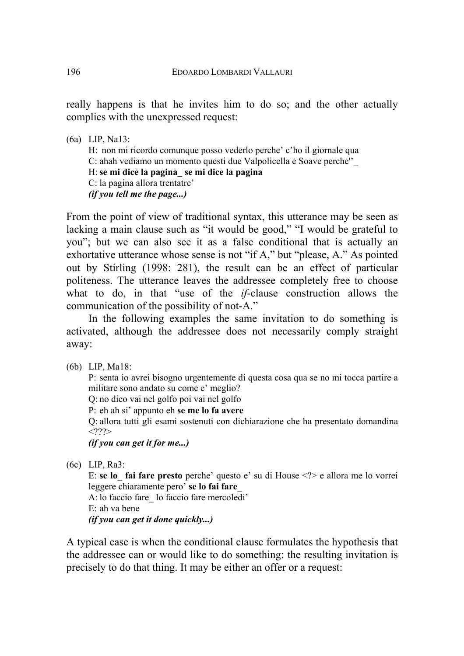really happens is that he invites him to do so; and the other actually complies with the unexpressed request:

(6a) LIP, Na13:

H: non mi ricordo comunque posso vederlo perche' c'ho il giornale qua C: ahah vediamo un momento questi due Valpolicella e Soave perche''\_ H: **se mi dice la pagina\_ se mi dice la pagina** C: la pagina allora trentatre' *(if you tell me the page...)* 

From the point of view of traditional syntax, this utterance may be seen as lacking a main clause such as "it would be good," "I would be grateful to you"; but we can also see it as a false conditional that is actually an exhortative utterance whose sense is not "if A," but "please, A." As pointed out by Stirling (1998: 281), the result can be an effect of particular politeness. The utterance leaves the addressee completely free to choose what to do, in that "use of the *if*-clause construction allows the communication of the possibility of not-A."

In the following examples the same invitation to do something is activated, although the addressee does not necessarily comply straight away:

(6b) LIP, Ma18:

P: senta io avrei bisogno urgentemente di questa cosa qua se no mi tocca partire a militare sono andato su come e' meglio?

Q: no dico vai nel golfo poi vai nel golfo

P: eh ah si' appunto eh **se me lo fa avere** 

Q: allora tutti gli esami sostenuti con dichiarazione che ha presentato domandina  $<$ ???>

*(if you can get it for me...)* 

(6c) LIP, Ra3:

E: **se lo\_ fai fare presto** perche' questo e' su di House <?> e allora me lo vorrei leggere chiaramente pero' **se lo fai fare**\_

A: lo faccio fare\_ lo faccio fare mercoledi' E: ah va bene

*(if you can get it done quickly...)* 

A typical case is when the conditional clause formulates the hypothesis that the addressee can or would like to do something: the resulting invitation is precisely to do that thing. It may be either an offer or a request: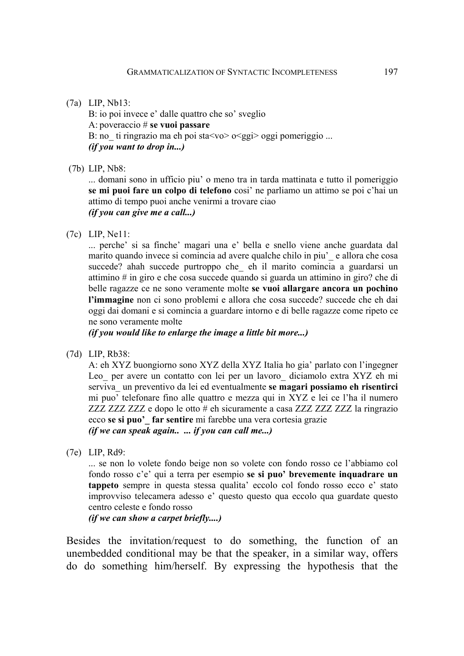#### (7a) LIP, Nb13:

B: io poi invece e' dalle quattro che so' sveglio A: poveraccio # **se vuoi passare**  B: no ti ringrazio ma eh poi sta $\langle v \rangle$  o $\langle g g i \rangle$  oggi pomeriggio ... *(if you want to drop in...)* 

(7b) LIP, Nb8:

... domani sono in ufficio piu' o meno tra in tarda mattinata e tutto il pomeriggio **se mi puoi fare un colpo di telefono** cosi' ne parliamo un attimo se poi c'hai un attimo di tempo puoi anche venirmi a trovare ciao *(if you can give me a call...)* 

(7c) LIP, Ne11:

... perche' si sa finche' magari una e' bella e snello viene anche guardata dal marito quando invece si comincia ad avere qualche chilo in piu<sup>2</sup> e allora che cosa succede? ahah succede purtroppo che\_ eh il marito comincia a guardarsi un attimino # in giro e che cosa succede quando si guarda un attimino in giro? che di belle ragazze ce ne sono veramente molte **se vuoi allargare ancora un pochino l'immagine** non ci sono problemi e allora che cosa succede? succede che eh dai oggi dai domani e si comincia a guardare intorno e di belle ragazze come ripeto ce ne sono veramente molte

*(if you would like to enlarge the image a little bit more...)* 

(7d) LIP, Rb38:

A: eh XYZ buongiorno sono XYZ della XYZ Italia ho gia' parlato con l'ingegner Leo per avere un contatto con lei per un lavoro diciamolo extra XYZ eh mi serviva\_ un preventivo da lei ed eventualmente **se magari possiamo eh risentirci**  mi puo' telefonare fino alle quattro e mezza qui in XYZ e lei ce l'ha il numero ZZZ ZZZ ZZZ e dopo le otto # eh sicuramente a casa ZZZ ZZZ ZZZ la ringrazio ecco **se si puo'\_ far sentire** mi farebbe una vera cortesia grazie *(if we can speak again.. ... if you can call me...)* 

(7e) LIP, Rd9:

... se non lo volete fondo beige non so volete con fondo rosso ce l'abbiamo col fondo rosso c'e' qui a terra per esempio **se si puo' brevemente inquadrare un tappeto** sempre in questa stessa qualita' eccolo col fondo rosso ecco e' stato improvviso telecamera adesso e' questo questo qua eccolo qua guardate questo centro celeste e fondo rosso

*(if we can show a carpet briefly....)* 

Besides the invitation/request to do something, the function of an unembedded conditional may be that the speaker, in a similar way, offers do do something him/herself. By expressing the hypothesis that the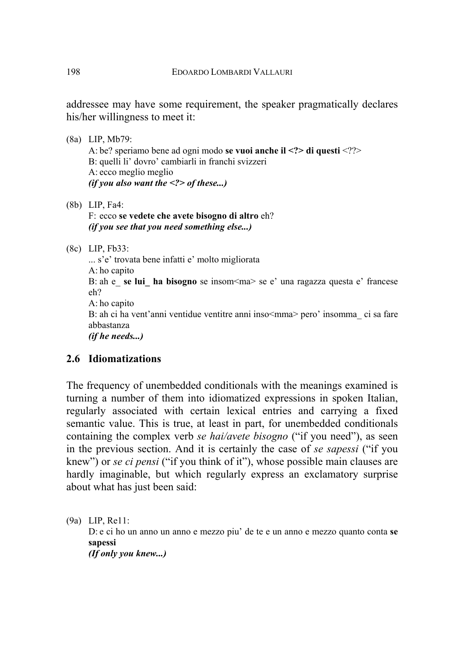addressee may have some requirement, the speaker pragmatically declares his/her willingness to meet it:

- (8a) LIP, Mb79: A: be? speriamo bene ad ogni modo **se vuoi anche il <?> di questi** <??> B: quelli li' dovro' cambiarli in franchi svizzeri A: ecco meglio meglio *(if you also want the <?> of these...)*
- (8b) LIP, Fa4: F: ecco **se vedete che avete bisogno di altro** eh? *(if you see that you need something else...)*

(8c) LIP, Fb33:

... s'e' trovata bene infatti e' molto migliorata A: ho capito B: ah e\_ **se lui\_ ha bisogno** se insom<ma> se e' una ragazza questa e' francese eh? A: ho capito B: ah ci ha vent'anni ventidue ventitre anni inso<mma> pero' insomma ci sa fare abbastanza *(if he needs...)* 

## **2.6 Idiomatizations**

The frequency of unembedded conditionals with the meanings examined is turning a number of them into idiomatized expressions in spoken Italian, regularly associated with certain lexical entries and carrying a fixed semantic value. This is true, at least in part, for unembedded conditionals containing the complex verb *se hai/avete bisogno* ("if you need"), as seen in the previous section. And it is certainly the case of *se sapessi* ("if you knew") or *se ci pensi* ("if you think of it"), whose possible main clauses are hardly imaginable, but which regularly express an exclamatory surprise about what has just been said:

(9a) LIP, Re11:

D: e ci ho un anno un anno e mezzo piu' de te e un anno e mezzo quanto conta **se sapessi** 

*(If only you knew...)*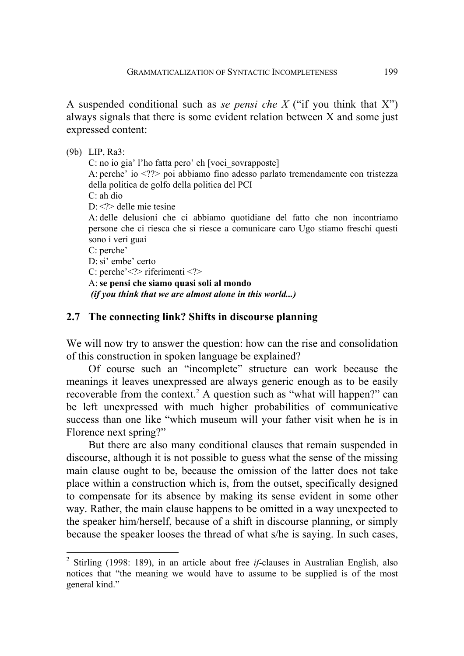A suspended conditional such as *se pensi che X* ("if you think that X") always signals that there is some evident relation between X and some just expressed content:

(9b) LIP, Ra3: C: no io gia' l'ho fatta pero' eh [voci\_sovrapposte] A: perche' io <??> poi abbiamo fino adesso parlato tremendamente con tristezza della politica de golfo della politica del PCI C: ah dio D:  $\langle$ ?> delle mie tesine A: delle delusioni che ci abbiamo quotidiane del fatto che non incontriamo persone che ci riesca che si riesce a comunicare caro Ugo stiamo freschi questi sono i veri guai C: perche' D: si' embe' certo C: perche'<?> riferimenti <?> A: **se pensi che siamo quasi soli al mondo**  *(if you think that we are almost alone in this world...)* 

## **2.7 The connecting link? Shifts in discourse planning**

We will now try to answer the question: how can the rise and consolidation of this construction in spoken language be explained?

Of course such an "incomplete" structure can work because the meanings it leaves unexpressed are always generic enough as to be easily recoverable from the context.<sup>[2](#page-10-0)</sup> A question such as "what will happen?" can be left unexpressed with much higher probabilities of communicative success than one like "which museum will your father visit when he is in Florence next spring?"

But there are also many conditional clauses that remain suspended in discourse, although it is not possible to guess what the sense of the missing main clause ought to be, because the omission of the latter does not take place within a construction which is, from the outset, specifically designed to compensate for its absence by making its sense evident in some other way. Rather, the main clause happens to be omitted in a way unexpected to the speaker him/herself, because of a shift in discourse planning, or simply because the speaker looses the thread of what s/he is saying. In such cases,

<span id="page-10-0"></span><sup>2</sup> Stirling (1998: 189), in an article about free *if*-clauses in Australian English, also notices that "the meaning we would have to assume to be supplied is of the most general kind."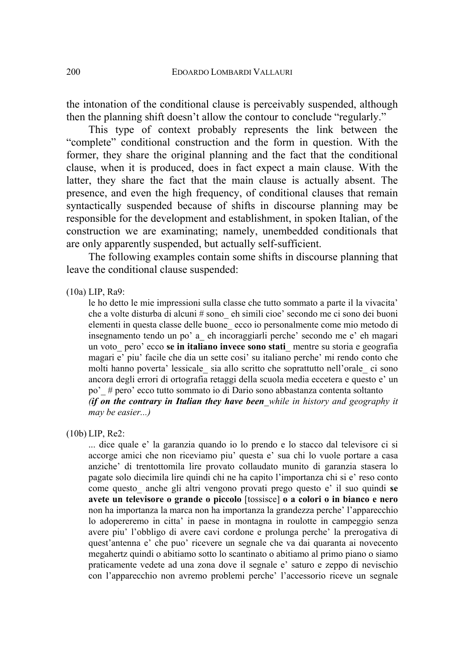the intonation of the conditional clause is perceivably suspended, although then the planning shift doesn't allow the contour to conclude "regularly."

This type of context probably represents the link between the "complete" conditional construction and the form in question. With the former, they share the original planning and the fact that the conditional clause, when it is produced, does in fact expect a main clause. With the latter, they share the fact that the main clause is actually absent. The presence, and even the high frequency, of conditional clauses that remain syntactically suspended because of shifts in discourse planning may be responsible for the development and establishment, in spoken Italian, of the construction we are examinating; namely, unembedded conditionals that are only apparently suspended, but actually self-sufficient.

The following examples contain some shifts in discourse planning that leave the conditional clause suspended:

#### (10a) LIP, Ra9:

le ho detto le mie impressioni sulla classe che tutto sommato a parte il la vivacita' che a volte disturba di alcuni # sono\_ eh simili cioe' secondo me ci sono dei buoni elementi in questa classe delle buone\_ ecco io personalmente come mio metodo di insegnamento tendo un po' a\_ eh incoraggiarli perche' secondo me e' eh magari un voto\_ pero' ecco **se in italiano invece sono stati**\_ mentre su storia e geografia magari e' piu' facile che dia un sette cosi' su italiano perche' mi rendo conto che molti hanno poverta' lessicale\_ sia allo scritto che soprattutto nell'orale\_ ci sono ancora degli errori di ortografia retaggi della scuola media eccetera e questo e' un po'\_ # pero' ecco tutto sommato io di Dario sono abbastanza contenta soltanto *(if on the contrary in Italian they have been\_while in history and geography it may be easier...)* 

(10b) LIP, Re2:

... dice quale e' la garanzia quando io lo prendo e lo stacco dal televisore ci si accorge amici che non riceviamo piu' questa e' sua chi lo vuole portare a casa anziche' di trentottomila lire provato collaudato munito di garanzia stasera lo pagate solo diecimila lire quindi chi ne ha capito l'importanza chi si e' reso conto come questo\_ anche gli altri vengono provati prego questo e' il suo quindi **se avete un televisore o grande o piccolo** [tossisce] **o a colori o in bianco e nero**  non ha importanza la marca non ha importanza la grandezza perche' l'apparecchio lo adopereremo in citta' in paese in montagna in roulotte in campeggio senza avere piu' l'obbligo di avere cavi cordone e prolunga perche' la prerogativa di quest'antenna e' che puo' ricevere un segnale che va dai quaranta ai novecento megahertz quindi o abitiamo sotto lo scantinato o abitiamo al primo piano o siamo praticamente vedete ad una zona dove il segnale e' saturo e zeppo di nevischio con l'apparecchio non avremo problemi perche' l'accessorio riceve un segnale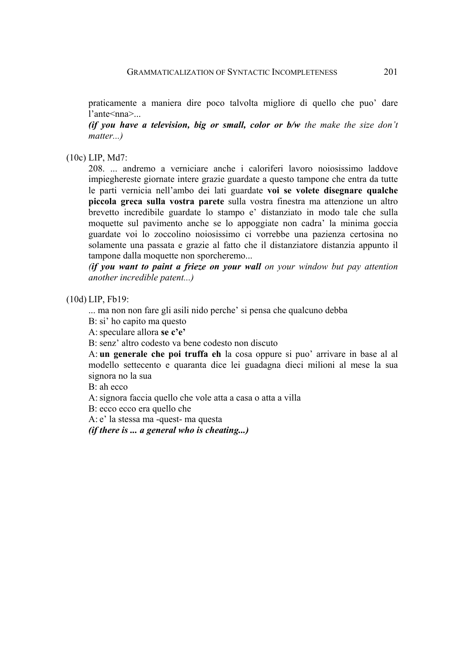praticamente a maniera dire poco talvolta migliore di quello che puo' dare l'ante<nna>

*(if you have a television, big or small, color or b/w the make the size don't matter...)* 

(10c) LIP, Md7:

208. ... andremo a verniciare anche i caloriferi lavoro noiosissimo laddove impieghereste giornate intere grazie guardate a questo tampone che entra da tutte le parti vernicia nell'ambo dei lati guardate **voi se volete disegnare qualche piccola greca sulla vostra parete** sulla vostra finestra ma attenzione un altro brevetto incredibile guardate lo stampo e' distanziato in modo tale che sulla moquette sul pavimento anche se lo appoggiate non cadra' la minima goccia guardate voi lo zoccolino noiosissimo ci vorrebbe una pazienza certosina no solamente una passata e grazie al fatto che il distanziatore distanzia appunto il tampone dalla moquette non sporcheremo...

*(if you want to paint a frieze on your wall on your window but pay attention another incredible patent...)* 

#### (10d) LIP, Fb19:

... ma non non fare gli asili nido perche' si pensa che qualcuno debba

B: si' ho capito ma questo

A: speculare allora **se c'e'** 

B: senz' altro codesto va bene codesto non discuto

A: **un generale che poi truffa eh** la cosa oppure si puo' arrivare in base al al modello settecento e quaranta dice lei guadagna dieci milioni al mese la sua signora no la sua

B: ah ecco

A: signora faccia quello che vole atta a casa o atta a villa

B: ecco ecco era quello che

A: e' la stessa ma -quest- ma questa

*(if there is ... a general who is cheating...)*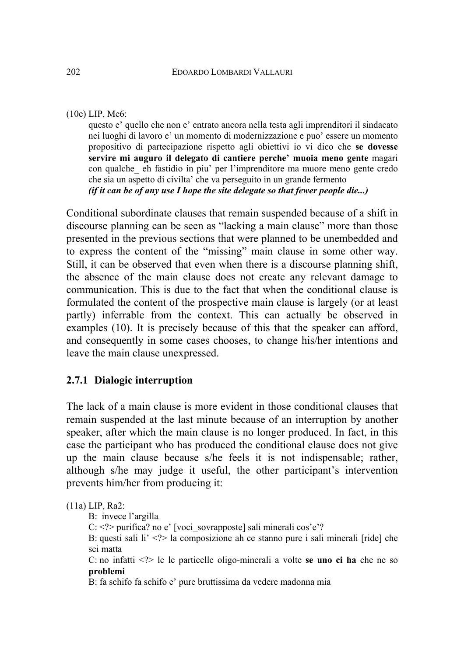### (10e) LIP, Me6:

questo e' quello che non e' entrato ancora nella testa agli imprenditori il sindacato nei luoghi di lavoro e' un momento di modernizzazione e puo' essere un momento propositivo di partecipazione rispetto agli obiettivi io vi dico che **se dovesse servire mi auguro il delegato di cantiere perche' muoia meno gente** magari con qualche\_ eh fastidio in piu' per l'imprenditore ma muore meno gente credo che sia un aspetto di civilta' che va perseguito in un grande fermento *(if it can be of any use I hope the site delegate so that fewer people die...)* 

Conditional subordinate clauses that remain suspended because of a shift in discourse planning can be seen as "lacking a main clause" more than those presented in the previous sections that were planned to be unembedded and to express the content of the "missing" main clause in some other way. Still, it can be observed that even when there is a discourse planning shift, the absence of the main clause does not create any relevant damage to communication. This is due to the fact that when the conditional clause is formulated the content of the prospective main clause is largely (or at least partly) inferrable from the context. This can actually be observed in examples (10). It is precisely because of this that the speaker can afford, and consequently in some cases chooses, to change his/her intentions and leave the main clause unexpressed.

## **2.7.1 Dialogic interruption**

The lack of a main clause is more evident in those conditional clauses that remain suspended at the last minute because of an interruption by another speaker, after which the main clause is no longer produced. In fact, in this case the participant who has produced the conditional clause does not give up the main clause because s/he feels it is not indispensable; rather, although s/he may judge it useful, the other participant's intervention prevents him/her from producing it:

(11a) LIP, Ra2:

- B: invece l'argilla
- C: <?> purifica? no e' [voci\_sovrapposte] sali minerali cos'e'?
- B: questi sali li' <?> la composizione ah ce stanno pure i sali minerali [ride] che sei matta

C: no infatti <?> le le particelle oligo-minerali a volte **se uno ci ha** che ne so **problemi**

B: fa schifo fa schifo e' pure bruttissima da vedere madonna mia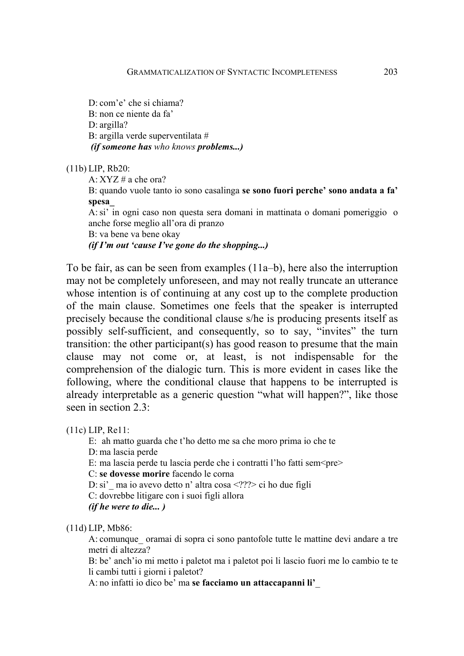D: com'e' che si chiama? B: non ce niente da fa' D: argilla? B: argilla verde superventilata #  *(if someone has who knows problems...)* 

(11b) LIP, Rb20:

A: XYZ # a che ora?

B: quando vuole tanto io sono casalinga **se sono fuori perche' sono andata a fa' spesa\_**

A: si' in ogni caso non questa sera domani in mattinata o domani pomeriggio o anche forse meglio all'ora di pranzo

B: va bene va bene okay

*(if I'm out 'cause I've gone do the shopping...)* 

To be fair, as can be seen from examples (11a–b), here also the interruption may not be completely unforeseen, and may not really truncate an utterance whose intention is of continuing at any cost up to the complete production of the main clause. Sometimes one feels that the speaker is interrupted precisely because the conditional clause s/he is producing presents itself as possibly self-sufficient, and consequently, so to say, "invites" the turn transition: the other participant(s) has good reason to presume that the main clause may not come or, at least, is not indispensable for the comprehension of the dialogic turn. This is more evident in cases like the following, where the conditional clause that happens to be interrupted is already interpretable as a generic question "what will happen?", like those seen in section 2.3:

(11c) LIP, Re11:

E: ah matto guarda che t'ho detto me sa che moro prima io che te D: ma lascia perde E: ma lascia perde tu lascia perde che i contratti l'ho fatti sem $\text{Spec}$ C: **se dovesse morire** facendo le corna D: si'\_ ma io avevo detto n' altra cosa <???> ci ho due figli C: dovrebbe litigare con i suoi figli allora *(if he were to die... )* 

(11d) LIP, Mb86:

A: comunque oramai di sopra ci sono pantofole tutte le mattine devi andare a tre metri di altezza?

B: be' anch'io mi metto i paletot ma i paletot poi li lascio fuori me lo cambio te te li cambi tutti i giorni i paletot?

A: no infatti io dico be' ma **se facciamo un attaccapanni li'**\_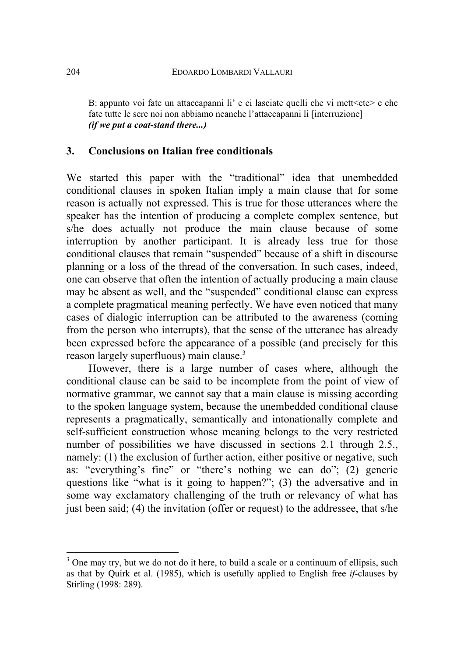B: appunto voi fate un attaccapanni li  $\epsilon$  e ci lasciate quelli che vi mett $\epsilon$ ete $\epsilon$  e che fate tutte le sere noi non abbiamo neanche l'attaccapanni li [interruzione] *(if we put a coat-stand there...)* 

## **3. Conclusions on Italian free conditionals**

We started this paper with the "traditional" idea that unembedded conditional clauses in spoken Italian imply a main clause that for some reason is actually not expressed. This is true for those utterances where the speaker has the intention of producing a complete complex sentence, but s/he does actually not produce the main clause because of some interruption by another participant. It is already less true for those conditional clauses that remain "suspended" because of a shift in discourse planning or a loss of the thread of the conversation. In such cases, indeed, one can observe that often the intention of actually producing a main clause may be absent as well, and the "suspended" conditional clause can express a complete pragmatical meaning perfectly. We have even noticed that many cases of dialogic interruption can be attributed to the awareness (coming from the person who interrupts), that the sense of the utterance has already been expressed before the appearance of a possible (and precisely for this reason largely superfluous) main clause.<sup>[3](#page-15-0)</sup>

However, there is a large number of cases where, although the conditional clause can be said to be incomplete from the point of view of normative grammar, we cannot say that a main clause is missing according to the spoken language system, because the unembedded conditional clause represents a pragmatically, semantically and intonationally complete and self-sufficient construction whose meaning belongs to the very restricted number of possibilities we have discussed in sections 2.1 through 2.5., namely: (1) the exclusion of further action, either positive or negative, such as: "everything's fine" or "there's nothing we can do"; (2) generic questions like "what is it going to happen?"; (3) the adversative and in some way exclamatory challenging of the truth or relevancy of what has just been said; (4) the invitation (offer or request) to the addressee, that s/he

<span id="page-15-0"></span> $3$  One may try, but we do not do it here, to build a scale or a continuum of ellipsis, such as that by Quirk et al. (1985), which is usefully applied to English free *if*-clauses by Stirling (1998: 289).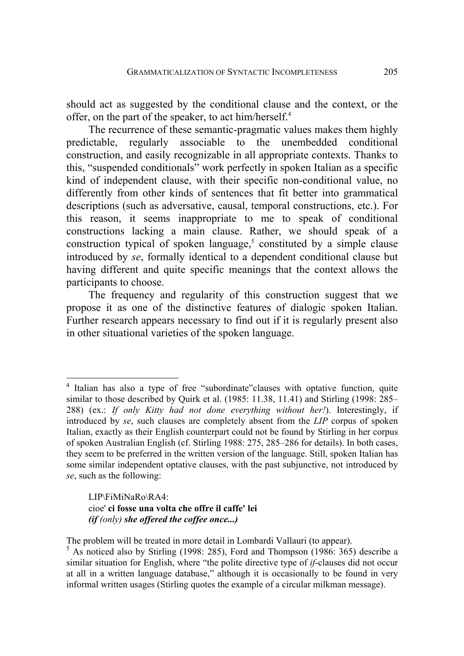should act as suggested by the conditional clause and the context, or the offer, on the part of the speaker, to act him/herself.<sup>[4](#page-16-0)</sup>

The recurrence of these semantic-pragmatic values makes them highly predictable, regularly associable to the unembedded conditional construction, and easily recognizable in all appropriate contexts. Thanks to this, "suspended conditionals" work perfectly in spoken Italian as a specific kind of independent clause, with their specific non-conditional value, no differently from other kinds of sentences that fit better into grammatical descriptions (such as adversative, causal, temporal constructions, etc.). For this reason, it seems inappropriate to me to speak of conditional constructions lacking a main clause. Rather, we should speak of a construction typical of spoken language, $5$  constituted by a simple clause introduced by *se*, formally identical to a dependent conditional clause but having different and quite specific meanings that the context allows the participants to choose.

The frequency and regularity of this construction suggest that we propose it as one of the distinctive features of dialogic spoken Italian. Further research appears necessary to find out if it is regularly present also in other situational varieties of the spoken language.

LIP\FiMiNaRo\RA4: cioe' **ci fosse una volta che offre il caffe' lei** *(if (only) she offered the coffee once...)*

<span id="page-16-0"></span><sup>&</sup>lt;sup>4</sup> Italian has also a type of free "subordinate" clauses with optative function, quite similar to those described by Quirk et al. (1985: 11.38, 11.41) and Stirling (1998: 285– 288) (ex.: *If only Kitty had not done everything without her!*). Interestingly, if introduced by *se*, such clauses are completely absent from the *LIP* corpus of spoken Italian, exactly as their English counterpart could not be found by Stirling in her corpus of spoken Australian English (cf. Stirling 1988: 275, 285–286 for details). In both cases, they seem to be preferred in the written version of the language. Still, spoken Italian has some similar independent optative clauses, with the past subjunctive, not introduced by *se*, such as the following:

The problem will be treated in more detail in Lombardi Vallauri (to appear).

<span id="page-16-1"></span> $5$  As noticed also by Stirling (1998: 285), Ford and Thompson (1986: 365) describe a similar situation for English, where "the polite directive type of *if*-clauses did not occur at all in a written language database," although it is occasionally to be found in very informal written usages (Stirling quotes the example of a circular milkman message).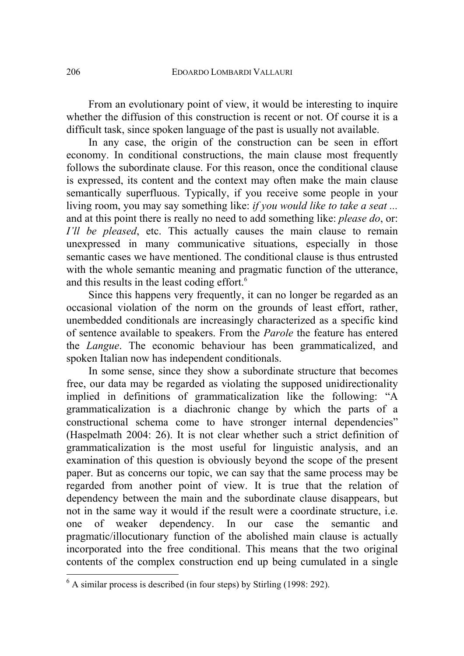From an evolutionary point of view, it would be interesting to inquire whether the diffusion of this construction is recent or not. Of course it is a difficult task, since spoken language of the past is usually not available.

In any case, the origin of the construction can be seen in effort economy. In conditional constructions, the main clause most frequently follows the subordinate clause. For this reason, once the conditional clause is expressed, its content and the context may often make the main clause semantically superfluous. Typically, if you receive some people in your living room, you may say something like: *if you would like to take a seat ...* and at this point there is really no need to add something like: *please do*, or: *I'll be pleased*, etc. This actually causes the main clause to remain unexpressed in many communicative situations, especially in those semantic cases we have mentioned. The conditional clause is thus entrusted with the whole semantic meaning and pragmatic function of the utterance. and this results in the least coding effort.<sup>[6](#page-17-0)</sup>

Since this happens very frequently, it can no longer be regarded as an occasional violation of the norm on the grounds of least effort, rather, unembedded conditionals are increasingly characterized as a specific kind of sentence available to speakers. From the *Parole* the feature has entered the *Langue*. The economic behaviour has been grammaticalized, and spoken Italian now has independent conditionals.

In some sense, since they show a subordinate structure that becomes free, our data may be regarded as violating the supposed unidirectionality implied in definitions of grammaticalization like the following: "A grammaticalization is a diachronic change by which the parts of a constructional schema come to have stronger internal dependencies" (Haspelmath 2004: 26). It is not clear whether such a strict definition of grammaticalization is the most useful for linguistic analysis, and an examination of this question is obviously beyond the scope of the present paper. But as concerns our topic, we can say that the same process may be regarded from another point of view. It is true that the relation of dependency between the main and the subordinate clause disappears, but not in the same way it would if the result were a coordinate structure, i.e. one of weaker dependency. In our case the semantic and pragmatic/illocutionary function of the abolished main clause is actually incorporated into the free conditional. This means that the two original contents of the complex construction end up being cumulated in a single

<span id="page-17-0"></span> $6$  A similar process is described (in four steps) by Stirling (1998: 292).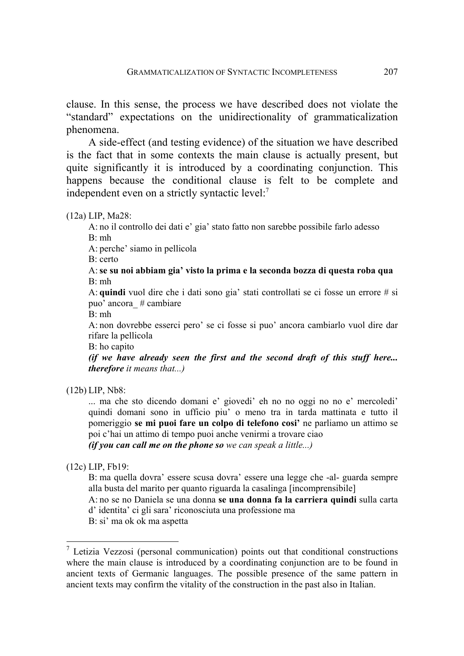clause. In this sense, the process we have described does not violate the "standard" expectations on the unidirectionality of grammaticalization phenomena.

A side-effect (and testing evidence) of the situation we have described is the fact that in some contexts the main clause is actually present, but quite significantly it is introduced by a coordinating conjunction. This happens because the conditional clause is felt to be complete and independent even on a strictly syntactic level:<sup>[7](#page-18-0)</sup>

(12a) LIP, Ma28:

A: no il controllo dei dati e' gia' stato fatto non sarebbe possibile farlo adesso B: mh

A: perche' siamo in pellicola

B: certo

A: **se su noi abbiam gia' visto la prima e la seconda bozza di questa roba qua** B: mh

A: **quindi** vuol dire che i dati sono gia' stati controllati se ci fosse un errore # si puo' ancora\_ # cambiare

B: mh

A: non dovrebbe esserci pero' se ci fosse si puo' ancora cambiarlo vuol dire dar rifare la pellicola

B: ho capito

*(if we have already seen the first and the second draft of this stuff here... therefore it means that...)* 

(12b) LIP, Nb8:

... ma che sto dicendo domani e' giovedi' eh no no oggi no no e' mercoledi' quindi domani sono in ufficio piu' o meno tra in tarda mattinata e tutto il pomeriggio **se mi puoi fare un colpo di telefono cosi'** ne parliamo un attimo se poi c'hai un attimo di tempo puoi anche venirmi a trovare ciao

*(if you can call me on the phone so we can speak a little...)* 

(12c) LIP, Fb19:

 $\overline{a}$ 

B: ma quella dovra' essere scusa dovra' essere una legge che -al- guarda sempre alla busta del marito per quanto riguarda la casalinga [incomprensibile]

A: no se no Daniela se una donna **se una donna fa la carriera quindi** sulla carta d' identita' ci gli sara' riconosciuta una professione ma

B: si' ma ok ok ma aspetta

<span id="page-18-0"></span> $\frac{7}{7}$  Letizia Vezzosi (personal communication) points out that conditional constructions where the main clause is introduced by a coordinating conjunction are to be found in ancient texts of Germanic languages. The possible presence of the same pattern in ancient texts may confirm the vitality of the construction in the past also in Italian.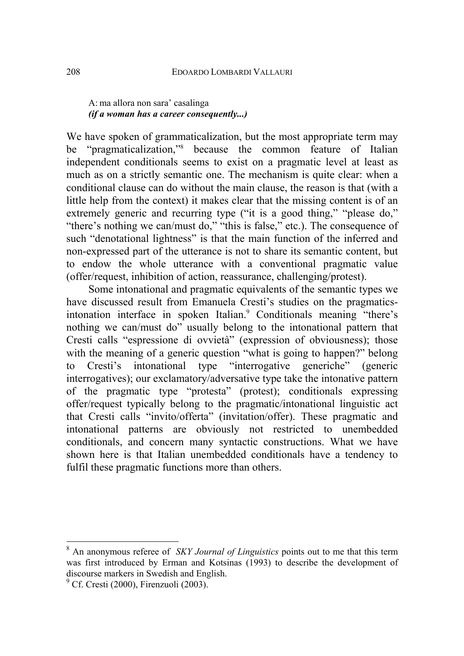### A: ma allora non sara' casalinga *(if a woman has a career consequently...)*

We have spoken of grammaticalization, but the most appropriate term may be "pragmaticalization,"[8](#page-19-0) because the common feature of Italian independent conditionals seems to exist on a pragmatic level at least as much as on a strictly semantic one. The mechanism is quite clear: when a conditional clause can do without the main clause, the reason is that (with a little help from the context) it makes clear that the missing content is of an extremely generic and recurring type ("it is a good thing," "please do," "there's nothing we can/must do," "this is false," etc.). The consequence of such "denotational lightness" is that the main function of the inferred and non-expressed part of the utterance is not to share its semantic content, but to endow the whole utterance with a conventional pragmatic value (offer/request, inhibition of action, reassurance, challenging/protest).

Some intonational and pragmatic equivalents of the semantic types we have discussed result from Emanuela Cresti's studies on the pragmatics-intonation interface in spoken Italian.<sup>[9](#page-19-1)</sup> Conditionals meaning "there's nothing we can/must do" usually belong to the intonational pattern that Cresti calls "espressione di ovvietà" (expression of obviousness); those with the meaning of a generic question "what is going to happen?" belong to Cresti's intonational type "interrogative generiche" (generic interrogatives); our exclamatory/adversative type take the intonative pattern of the pragmatic type "protesta" (protest); conditionals expressing offer/request typically belong to the pragmatic/intonational linguistic act that Cresti calls "invito/offerta" (invitation/offer). These pragmatic and intonational patterns are obviously not restricted to unembedded conditionals, and concern many syntactic constructions. What we have shown here is that Italian unembedded conditionals have a tendency to fulfil these pragmatic functions more than others.

<span id="page-19-0"></span><sup>&</sup>lt;sup>8</sup> An anonymous referee of *SKY Journal of Linguistics* points out to me that this term was first introduced by Erman and Kotsinas (1993) to describe the development of discourse markers in Swedish and English.

<span id="page-19-1"></span><sup>&</sup>lt;sup>9</sup> Cf. Cresti (2000), Firenzuoli (2003).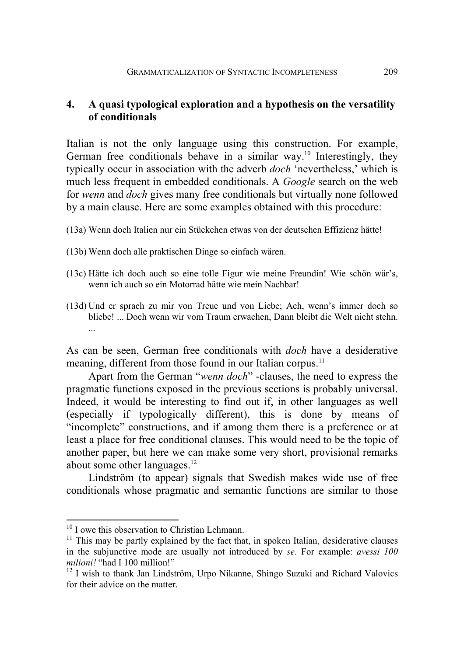## **4. A quasi typological exploration and a hypothesis on the versatility of conditionals**

Italian is not the only language using this construction. For example, German free conditionals behave in a similar way.<sup>10</sup> Interestingly, they typically occur in association with the adverb *doch* 'nevertheless,' which is much less frequent in embedded conditionals. A *Google* search on the web for *wenn* and *doch* gives many free conditionals but virtually none followed by a main clause. Here are some examples obtained with this procedure:

- (13a) Wenn doch Italien nur ein Stückchen etwas von der deutschen Effizienz hätte!
- (13b) Wenn doch alle praktischen Dinge so einfach wären.
- (13c) Hätte ich doch auch so eine tolle Figur wie meine Freundin! Wie schön wär's, wenn ich auch so ein Motorrad hätte wie mein Nachbar!
- (13d) Und er sprach zu mir von Treue und von Liebe; Ach, wenn's immer doch so bliebe! ... Doch wenn wir vom Traum erwachen, Dann bleibt die Welt nicht stehn.

As can be seen, German free conditionals with *doch* have a desiderative meaning, different from those found in our Italian corpus.<sup>[11](#page-20-1)</sup>

Apart from the German "*wenn doch*" -clauses, the need to express the pragmatic functions exposed in the previous sections is probably universal. Indeed, it would be interesting to find out if, in other languages as well (especially if typologically different), this is done by means of "incomplete" constructions, and if among them there is a preference or at least a place for free conditional clauses. This would need to be the topic of another paper, but here we can make some very short, provisional remarks about some other languages.<sup>[12](#page-20-2)</sup>

Lindström (to appear) signals that Swedish makes wide use of free conditionals whose pragmatic and semantic functions are similar to those

<span id="page-20-0"></span><sup>&</sup>lt;sup>10</sup> I owe this observation to Christian Lehmann.

<span id="page-20-1"></span><sup>&</sup>lt;sup>11</sup> This may be partly explained by the fact that, in spoken Italian, desiderative clauses in the subjunctive mode are usually not introduced by *se*. For example: *avessi 100 milioni!* "had I 100 million!"

<span id="page-20-2"></span><sup>&</sup>lt;sup>12</sup> I wish to thank Jan Lindström, Urpo Nikanne, Shingo Suzuki and Richard Valovics for their advice on the matter.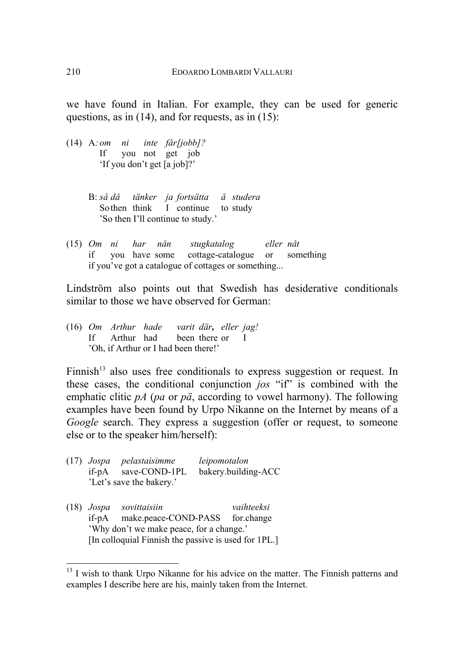we have found in Italian. For example, they can be used for generic questions, as in  $(14)$ , and for requests, as in  $(15)$ :

- (14) A*: om ni inte får [jobb]?*  If you not get job 'If you don't get [a job]?'
	- B: *så då tänker ja fortsätta å studera* So then think I continue to study 'So then I'll continue to study.'
- (15) *Om ni har nån stugkatalog eller nåt*  if you have some cottage-catalogue or something if you've got a catalogue of cottages or something...

Lindström also points out that Swedish has desiderative conditionals similar to those we have observed for German:

(16) *Om Arthur hade varit där, eller jag!*  If Arthur had been there or I 'Oh, if Arthur or I had been there!'

Finnish<sup>13</sup> also uses free conditionals to express suggestion or request. In these cases, the conditional conjunction *jos* "if" is combined with the emphatic clitic *pA* (*pa* or *pä*, according to vowel harmony). The following examples have been found by Urpo Nikanne on the Internet by means of a *Google* search. They express a suggestion (offer or request, to someone else or to the speaker him/herself):

- (17) *Jospa pelastaisimme leipomotalon*  if-pA save-COND-1PL bakery.building-ACC 'Let's save the bakery.'
- (18) *Jospa sovittaisiin vaihteeksi*  if-pA make.peace-COND-PASS for.change 'Why don't we make peace, for a change.' [In colloquial Finnish the passive is used for 1PL.]

<span id="page-21-0"></span><sup>&</sup>lt;sup>13</sup> I wish to thank Urpo Nikanne for his advice on the matter. The Finnish patterns and examples I describe here are his, mainly taken from the Internet.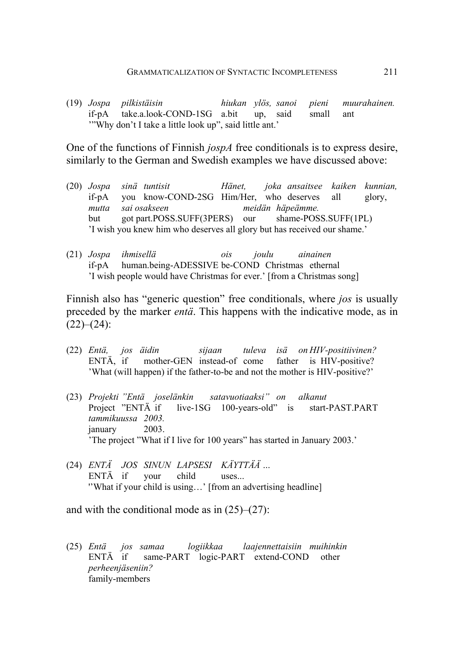(19) *Jospa pilkistäisin hiukan ylös, sanoi pieni muurahainen.*  if-pA take.a.look-COND-1SG a.bit up, said small ant '"Why don't I take a little look up", said little ant.'

One of the functions of Finnish *jospA* free conditionals is to express desire, similarly to the German and Swedish examples we have discussed above:

- (20) *Jospa sinä tuntisit Hänet, joka ansaitsee kaiken kunnian,*  if-pA you know-COND-2SG Him/Her, who deserves all glory, *mutta sai osakseen meidän häpeämme.*  but got part.POSS.SUFF(3PERS) our shame-POSS.SUFF(1PL) 'I wish you knew him who deserves all glory but has received our shame.'
- (21) *Jospa ihmisellä ois joulu ainainen*  if-pA human.being-ADESSIVE be-COND Christmas ethernal 'I wish people would have Christmas for ever.' [from a Christmas song]

Finnish also has "generic question" free conditionals, where *jos* is usually preceded by the marker *entä*. This happens with the indicative mode, as in  $(22)–(24)$ :

- (22) *Entä, jos äidin sijaan tuleva isä on HIV-positiivinen?*  ENTÄ, if mother-GEN instead-of come father is HIV-positive? 'What (will happen) if the father-to-be and not the mother is HIV-positive?'
- (23) *Projekti "Entä jos elänkin satavuotiaaksi" on alkanut*  Project "ENTÄ if live-1SG 100-years-old" is start-PAST.PART *tammikuussa 2003.*  january 2003. 'The project "What if I live for 100 years" has started in January 2003.'
- (24) *ENTÄ JOS SINUN LAPSESI KÄYTTÄÄ …*  ENTÄ if your child uses... ''What if your child is using…' [from an advertising headline]

and with the conditional mode as in  $(25)$ – $(27)$ :

(25) *Entä jos samaa logiikkaa laajennettaisiin muihinkin*  ENTÄ if same-PART logic-PART extend-COND other *perheenjäseniin?*  family-members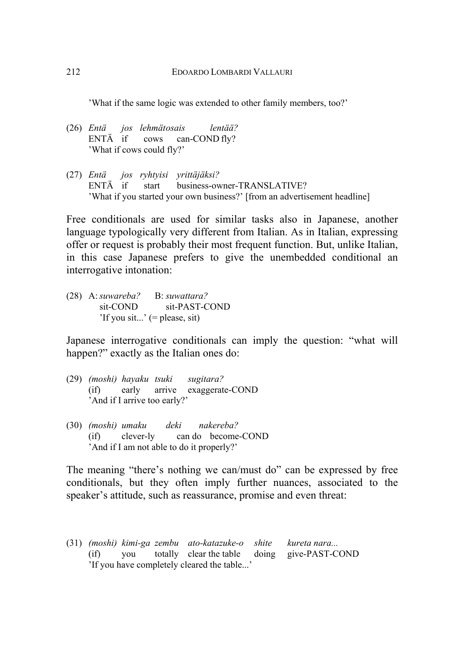'What if the same logic was extended to other family members, too?'

- (26) *Entä* jos lehmätosais lentää? ENTÄ if cows can-COND fly? 'What if cows could fly?'
- (27) *Entä jos ryhtyisi yrittäjäksi?*  ENTÄ if start business-owner-TRANSLATIVE? 'What if you started your own business?' [from an advertisement headline]

Free conditionals are used for similar tasks also in Japanese, another language typologically very different from Italian. As in Italian, expressing offer or request is probably their most frequent function. But, unlike Italian, in this case Japanese prefers to give the unembedded conditional an interrogative intonation:

(28) A: *suwareba?* B: *suwattara?*  sit-COND sit-PAST-COND 'If you sit...' (= please, sit)

Japanese interrogative conditionals can imply the question: "what will happen?" exactly as the Italian ones do:

- (29) *(moshi) hayaku tsuki sugitara?*  (if) early arrive exaggerate-COND 'And if I arrive too early?'
- (30) *(moshi) umaku deki nakereba?*  (if) clever-ly can do become-COND 'And if I am not able to do it properly?'

The meaning "there's nothing we can/must do" can be expressed by free conditionals, but they often imply further nuances, associated to the speaker's attitude, such as reassurance, promise and even threat:

(31) *(moshi) kimi-ga zembu ato-katazuke-o shite kureta nara...*  (if) you totally clear the table doing give-PAST-COND 'If you have completely cleared the table...'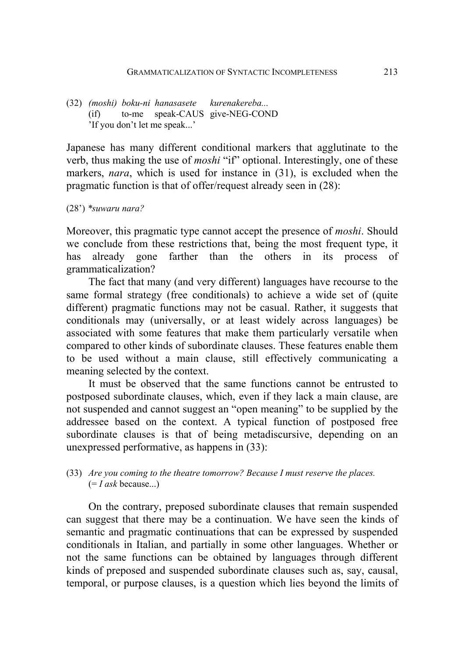(32) *(moshi) boku-ni hanasasete kurenakereba...*  (if) to-me speak-CAUS give-NEG-COND 'If you don't let me speak...'

Japanese has many different conditional markers that agglutinate to the verb, thus making the use of *moshi* "if" optional. Interestingly, one of these markers, *nara*, which is used for instance in (31), is excluded when the pragmatic function is that of offer/request already seen in (28):

(28') *\*suwaru nara?*

Moreover, this pragmatic type cannot accept the presence of *moshi*. Should we conclude from these restrictions that, being the most frequent type, it has already gone farther than the others in its process of grammaticalization?

The fact that many (and very different) languages have recourse to the same formal strategy (free conditionals) to achieve a wide set of (quite different) pragmatic functions may not be casual. Rather, it suggests that conditionals may (universally, or at least widely across languages) be associated with some features that make them particularly versatile when compared to other kinds of subordinate clauses. These features enable them to be used without a main clause, still effectively communicating a meaning selected by the context.

It must be observed that the same functions cannot be entrusted to postposed subordinate clauses, which, even if they lack a main clause, are not suspended and cannot suggest an "open meaning" to be supplied by the addressee based on the context. A typical function of postposed free subordinate clauses is that of being metadiscursive, depending on an unexpressed performative, as happens in (33):

#### (33) *Are you coming to the theatre tomorrow? Because I must reserve the places.*  (= *I ask* because...)

On the contrary, preposed subordinate clauses that remain suspended can suggest that there may be a continuation. We have seen the kinds of semantic and pragmatic continuations that can be expressed by suspended conditionals in Italian, and partially in some other languages. Whether or not the same functions can be obtained by languages through different kinds of preposed and suspended subordinate clauses such as, say, causal, temporal, or purpose clauses, is a question which lies beyond the limits of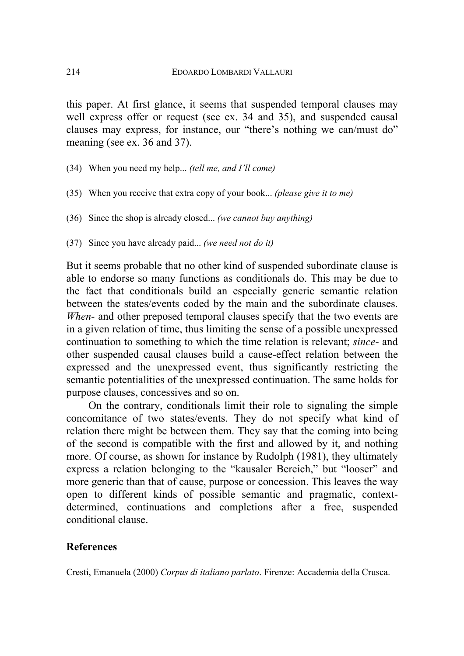this paper. At first glance, it seems that suspended temporal clauses may well express offer or request (see ex. 34 and 35), and suspended causal clauses may express, for instance, our "there's nothing we can/must do" meaning (see ex. 36 and 37).

- (34) When you need my help... *(tell me, and I'll come)*
- (35) When you receive that extra copy of your book... *(please give it to me)*
- (36) Since the shop is already closed... *(we cannot buy anything)*
- (37) Since you have already paid... *(we need not do it)*

But it seems probable that no other kind of suspended subordinate clause is able to endorse so many functions as conditionals do. This may be due to the fact that conditionals build an especially generic semantic relation between the states/events coded by the main and the subordinate clauses. *When-* and other preposed temporal clauses specify that the two events are in a given relation of time, thus limiting the sense of a possible unexpressed continuation to something to which the time relation is relevant; *since-* and other suspended causal clauses build a cause-effect relation between the expressed and the unexpressed event, thus significantly restricting the semantic potentialities of the unexpressed continuation. The same holds for purpose clauses, concessives and so on.

On the contrary, conditionals limit their role to signaling the simple concomitance of two states/events. They do not specify what kind of relation there might be between them. They say that the coming into being of the second is compatible with the first and allowed by it, and nothing more. Of course, as shown for instance by Rudolph (1981), they ultimately express a relation belonging to the "kausaler Bereich," but "looser" and more generic than that of cause, purpose or concession. This leaves the way open to different kinds of possible semantic and pragmatic, contextdetermined, continuations and completions after a free, suspended conditional clause.

### **References**

Cresti, Emanuela (2000) *Corpus di italiano parlato*. Firenze: Accademia della Crusca.